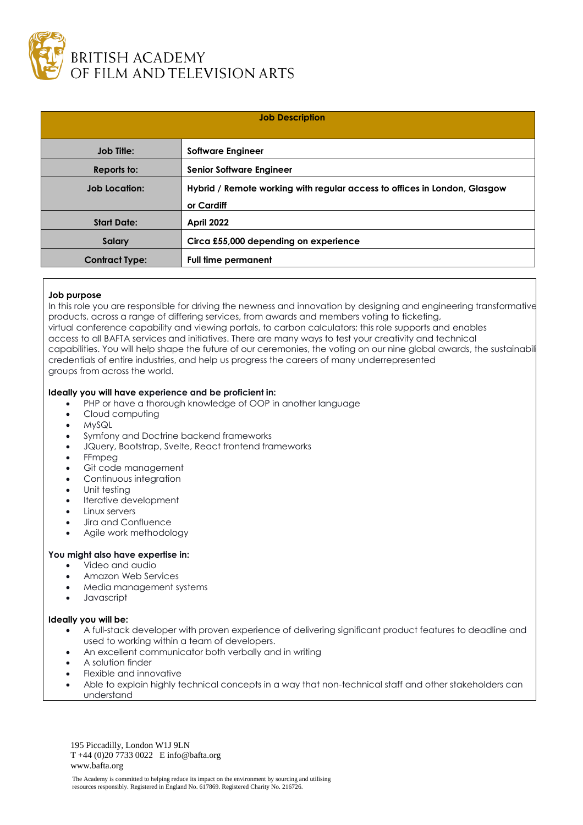

| <b>Job Description</b> |                                                                                         |
|------------------------|-----------------------------------------------------------------------------------------|
| <b>Job Title:</b>      | <b>Software Engineer</b>                                                                |
| Reports to:            | <b>Senior Software Engineer</b>                                                         |
| <b>Job Location:</b>   | Hybrid / Remote working with regular access to offices in London, Glasgow<br>or Cardiff |
| <b>Start Date:</b>     | <b>April 2022</b>                                                                       |
| <b>Salary</b>          | Circa £55,000 depending on experience                                                   |
| <b>Contract Type:</b>  | <b>Full time permanent</b>                                                              |

## **Job purpose**

In this role you are responsible for driving the newness and innovation by designing and engineering transformative products, across a range of differing services, from awards and members voting to ticketing, virtual conference capability and viewing portals, to carbon calculators; this role supports and enables access to all BAFTA services and initiatives. There are many ways to test your creativity and technical capabilities. You will help shape the future of our ceremonies, the voting on our nine global awards, the sustainabil credentials of entire industries, and help us progress the careers of many underrepresented groups from across the world.

## **Ideally you will have experience and be proficient in:**

- PHP or have a thorough knowledge of OOP in another language
- Cloud computing
- MySQL
- Symfony and Doctrine backend frameworks
- JQuery, Bootstrap, Svelte, React frontend frameworks
- FFmpeg
- Git code management
- Continuous integration
- Unit testing
- Iterative development
- Linux servers
- Jira and Confluence
- Agile work methodology

## **You might also have expertise in:**

- Video and audio
- Amazon Web Services
- Media management systems
- Javascript

## **Ideally you will be:**

- A full-stack developer with proven experience of delivering significant product features to deadline and used to working within a team of developers.
- An excellent communicator both verbally and in writing
- A solution finder
- Flexible and innovative
- Able to explain highly technical concepts in a way that non-technical staff and other stakeholders can understand

195 Piccadilly, London W1J 9LN T +44 (0)20 7733 0022 E info@bafta.org www.bafta.org